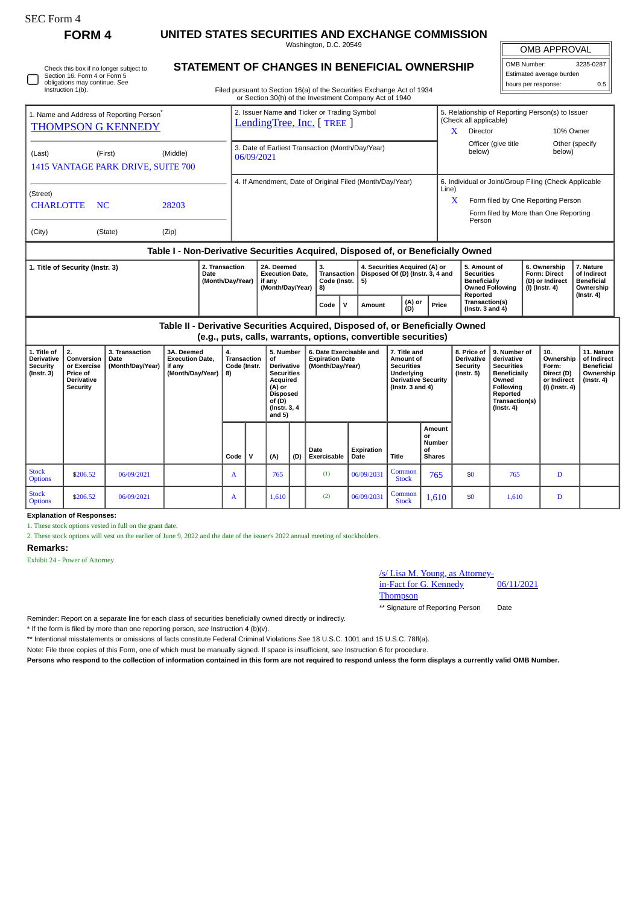Instruction 1(b).

Check this box if no longer subject to Section 16. Form 4 or Form 5 obligations may continue. *See*

# **FORM 4 UNITED STATES SECURITIES AND EXCHANGE COMMISSION**

Washington, D.C. 20549 **STATEMENT OF CHANGES IN BENEFICIAL OWNERSHIP**

OMB APPROVAL

| OMB Number:              | 3235-0287 |  |  |  |
|--------------------------|-----------|--|--|--|
| Estimated average burden |           |  |  |  |
| hours per response:      | 0.5       |  |  |  |
|                          |           |  |  |  |

Filed pursuant to Section 16(a) of the Securities Exchange Act of 1934 or Section 30(h) of the Investment Company Act of 1940

| 01 Section Solli) of the investment Company Act of 1940                           |                                                                                 |                                                                                                                                                              |  |  |  |  |  |
|-----------------------------------------------------------------------------------|---------------------------------------------------------------------------------|--------------------------------------------------------------------------------------------------------------------------------------------------------------|--|--|--|--|--|
| 1. Name and Address of Reporting Person <sup>®</sup><br><b>THOMPSON G KENNEDY</b> | 2. Issuer Name and Ticker or Trading Symbol<br><b>LendingTree, Inc.</b> [TREE ] | 5. Relationship of Reporting Person(s) to Issuer<br>(Check all applicable)<br>X<br>10% Owner<br>Director                                                     |  |  |  |  |  |
| (Last)<br>(Middle)<br>(First)<br>1415 VANTAGE PARK DRIVE, SUITE 700               | 3. Date of Earliest Transaction (Month/Day/Year)<br>06/09/2021                  | Officer (give title<br>Other (specify<br>below)<br>below)                                                                                                    |  |  |  |  |  |
| (Street)<br><b>CHARLOTTE</b><br>NC.<br>28203<br>(City)<br>(Zip)<br>(State)        | 4. If Amendment, Date of Original Filed (Month/Day/Year)                        | 6. Individual or Joint/Group Filing (Check Applicable<br>Line)<br>X<br>Form filed by One Reporting Person<br>Form filed by More than One Reporting<br>Person |  |  |  |  |  |
| Table I - Non-Derivative Securities Acquired, Disposed of, or Beneficially Owned  |                                                                                 |                                                                                                                                                              |  |  |  |  |  |

| 1. Title of Security (Instr. 3) | 2. Transaction<br>Date<br>(Month/Dav/Year) | 2A. Deemed<br><b>Execution Date.</b><br>if anv<br>(Month/Dav/Year) | Code (Instr. $  5$ )<br>l 8) |    | 4. Securities Acquired (A) or<br>Transaction   Disposed Of (D) (Instr. 3, 4 and |               |       | 5. Amount of<br>Securities<br><b>Beneficially</b><br><b>Owned Following</b> | 6. Ownership<br>Form: Direct<br>D) or Indirect<br>  (I) (Instr. 4) | . Nature<br>of Indirect<br><b>Beneficial</b><br>Ownership |
|---------------------------------|--------------------------------------------|--------------------------------------------------------------------|------------------------------|----|---------------------------------------------------------------------------------|---------------|-------|-----------------------------------------------------------------------------|--------------------------------------------------------------------|-----------------------------------------------------------|
|                                 |                                            |                                                                    | Code                         | ιv | Amount                                                                          | (A) or<br>(D) | Price | Reported<br>Transaction(s)<br>$($ lnstr. 3 and 4 $)$                        |                                                                    | $($ lnstr. 4 $)$                                          |

**Table II - Derivative Securities Acquired, Disposed of, or Beneficially Owned (e.g., puts, calls, warrants, options, convertible securities)**

|                                                                  | .                                                                                          |                                            |                                                                            |                                          |   |                                                                                                                                   |     |                                                                       |                    |                                                                                                                     |                                                      |                                                   |                                                                                                                                                              |                                                                          |                                                                          |
|------------------------------------------------------------------|--------------------------------------------------------------------------------------------|--------------------------------------------|----------------------------------------------------------------------------|------------------------------------------|---|-----------------------------------------------------------------------------------------------------------------------------------|-----|-----------------------------------------------------------------------|--------------------|---------------------------------------------------------------------------------------------------------------------|------------------------------------------------------|---------------------------------------------------|--------------------------------------------------------------------------------------------------------------------------------------------------------------|--------------------------------------------------------------------------|--------------------------------------------------------------------------|
| 1. Title of<br><b>Derivative</b><br>Security<br>$($ Instr. 3 $)$ | 2.<br>Conversion<br>or Exercise<br><b>Price of</b><br><b>Derivative</b><br><b>Security</b> | 3. Transaction<br>Date<br>(Month/Day/Year) | 3A. Deemed<br><b>Execution Date,</b><br>if any<br>(Month/Day/Year) $  8$ ) | 4.<br><b>Transaction</b><br>Code (Instr. |   | 5. Number<br>of<br>Derivative<br><b>Securities</b><br>Acquired<br>(A) or<br><b>Disposed</b><br>of(D)<br>(Instr. 3, 4)<br>and $5)$ |     | 6. Date Exercisable and<br><b>Expiration Date</b><br>(Month/Day/Year) |                    | 7. Title and<br>Amount of<br><b>Securities</b><br>Underlying<br><b>Derivative Security</b><br>(Instr. $3$ and $4$ ) |                                                      | <b>Derivative</b><br>Security<br>$($ lnstr. 5 $)$ | 8. Price of   9. Number of<br>derivative<br><b>Securities</b><br>Beneficially<br>Owned<br><b>Following</b><br>Reported<br>Transaction(s)<br>$($ Instr. 4 $)$ | 10.<br>Ownership<br>Form:<br>Direct (D)<br>or Indirect<br>(I) (Instr. 4) | 11. Nature<br>of Indirect<br>Beneficial<br>Ownership<br>$($ lnstr. 4 $)$ |
|                                                                  |                                                                                            |                                            |                                                                            | Code                                     | v | (A)                                                                                                                               | (D) | Date<br>Exercisable                                                   | Expiration<br>Date | Title                                                                                                               | Amount<br>or<br><b>Number</b><br>of<br><b>Shares</b> |                                                   |                                                                                                                                                              |                                                                          |                                                                          |
| <b>Stock</b><br><b>Options</b>                                   | \$206.52                                                                                   | 06/09/2021                                 |                                                                            | A                                        |   | 765                                                                                                                               |     | (1)                                                                   | 06/09/2031         | Common<br><b>Stock</b>                                                                                              | 765                                                  | \$0                                               | 765                                                                                                                                                          | D                                                                        |                                                                          |
| <b>Stock</b><br><b>Options</b>                                   | \$206.52                                                                                   | 06/09/2021                                 |                                                                            | A                                        |   | 1,610                                                                                                                             |     | (2)                                                                   | 06/09/2031         | Common<br><b>Stock</b>                                                                                              | 1,610                                                | \$0                                               | 1,610                                                                                                                                                        | D                                                                        |                                                                          |

**Explanation of Responses:**

1. These stock options vested in full on the grant date.

2. These stock options will vest on the earlier of June 9, 2022 and the date of the issuer's 2022 annual meeting of stockholders.

### **Remarks:**

Exhibit 24 - Power of Attorney

## /s/ Lisa M. Young, as Attorney-

in-Fact for G. Kennedy 06/11/2021

**Thompson** 

\*\* Signature of Reporting Person Date

Reminder: Report on a separate line for each class of securities beneficially owned directly or indirectly.

\* If the form is filed by more than one reporting person, *see* Instruction 4 (b)(v).

\*\* Intentional misstatements or omissions of facts constitute Federal Criminal Violations *See* 18 U.S.C. 1001 and 15 U.S.C. 78ff(a).

Note: File three copies of this Form, one of which must be manually signed. If space is insufficient, *see* Instruction 6 for procedure.

**Persons who respond to the collection of information contained in this form are not required to respond unless the form displays a currently valid OMB Number.**